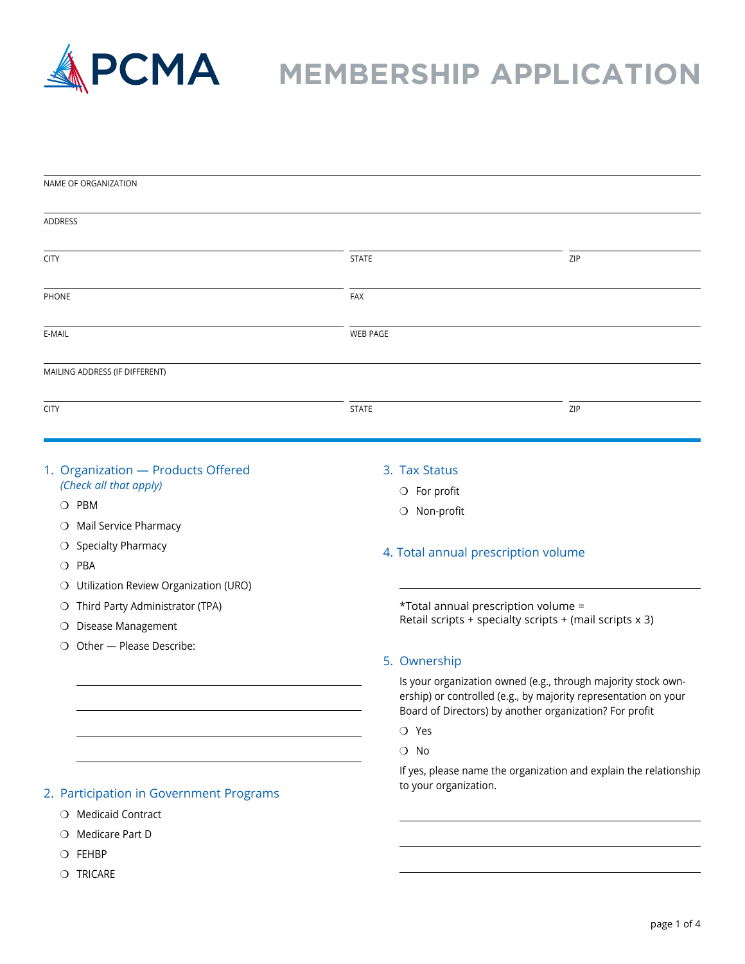

### **MPCMA** MEMBERSHIP APPLICATION

| NAME OF ORGANIZATION                                                                                             |                                                        |                                                                                                                                       |
|------------------------------------------------------------------------------------------------------------------|--------------------------------------------------------|---------------------------------------------------------------------------------------------------------------------------------------|
| ADDRESS                                                                                                          |                                                        |                                                                                                                                       |
| <b>CITY</b>                                                                                                      | <b>STATE</b>                                           | ZIP                                                                                                                                   |
| PHONE                                                                                                            | FAX                                                    |                                                                                                                                       |
| E-MAIL                                                                                                           | <b>WEB PAGE</b>                                        |                                                                                                                                       |
| MAILING ADDRESS (IF DIFFERENT)                                                                                   |                                                        |                                                                                                                                       |
| <b>CITY</b>                                                                                                      | <b>STATE</b>                                           | ZIP                                                                                                                                   |
| 1. Organization - Products Offered<br>(Check all that apply)<br>O PBM<br>O Mail Service Pharmacy                 | 3. Tax Status<br>$\bigcirc$ For profit<br>O Non-profit |                                                                                                                                       |
| O Specialty Pharmacy<br>O PBA<br>Utilization Review Organization (URO)<br>O<br>O Third Party Administrator (TPA) |                                                        | 4. Total annual prescription volume<br>*Total annual prescription volume =<br>Retail scripts + specialty scripts + (mail scripts x 3) |
| Disease Management<br>O<br>Other - Please Describe:<br>$\circ$                                                   | 5. Ownership                                           | Is your organization owned (e.g., through majority stock own-                                                                         |
|                                                                                                                  |                                                        | ership) or controlled (e.g., by majority representation on your<br>Board of Directors) by another organization? For profit            |
|                                                                                                                  | O Yes<br>$\bigcirc$ No                                 |                                                                                                                                       |
| 2. Participation in Government Programs                                                                          | to your organization.                                  | If yes, please name the organization and explain the relationship                                                                     |
| O Medicaid Contract                                                                                              |                                                        |                                                                                                                                       |
| O Medicare Part D                                                                                                |                                                        |                                                                                                                                       |
| O FEHBP                                                                                                          |                                                        |                                                                                                                                       |

 $\bigcirc$  TRICARE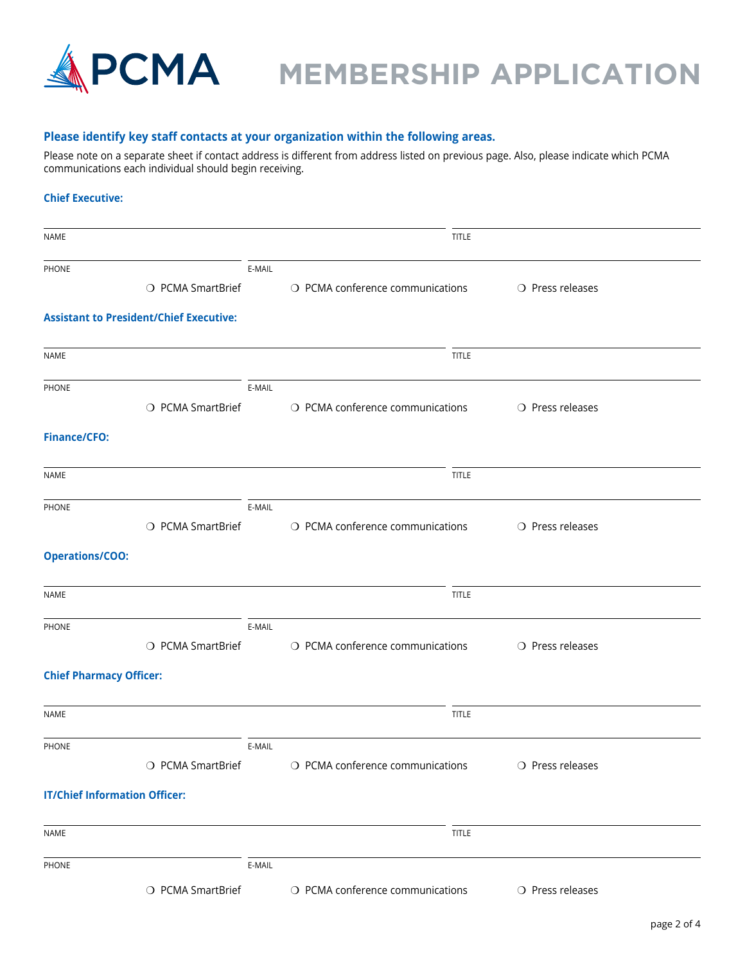

## **PCMA** MEMBERSHIP APPLICATION

### **Please identify key staff contacts at your organization within the following areas.**

Please note on a separate sheet if contact address is different from address listed on previous page. Also, please indicate which PCMA communications each individual should begin receiving.

### **Chief Executive:**

| NAME                                 |                                                |        | <b>TITLE</b>                     |                           |  |
|--------------------------------------|------------------------------------------------|--------|----------------------------------|---------------------------|--|
| PHONE                                |                                                | E-MAIL |                                  |                           |  |
|                                      | O PCMA SmartBrief                              |        | O PCMA conference communications | O Press releases          |  |
|                                      | <b>Assistant to President/Chief Executive:</b> |        |                                  |                           |  |
| NAME                                 |                                                |        | <b>TITLE</b>                     |                           |  |
| PHONE                                |                                                | E-MAIL |                                  |                           |  |
|                                      | O PCMA SmartBrief                              |        | O PCMA conference communications | O Press releases          |  |
| <b>Finance/CFO:</b>                  |                                                |        |                                  |                           |  |
| NAME                                 |                                                |        | <b>TITLE</b>                     |                           |  |
| PHONE                                |                                                | E-MAIL |                                  |                           |  |
|                                      | O PCMA SmartBrief                              |        | O PCMA conference communications | O Press releases          |  |
| <b>Operations/COO:</b>               |                                                |        |                                  |                           |  |
| NAME                                 |                                                |        | <b>TITLE</b>                     |                           |  |
| PHONE                                |                                                | E-MAIL |                                  |                           |  |
|                                      | O PCMA SmartBrief                              |        | O PCMA conference communications | O Press releases          |  |
| <b>Chief Pharmacy Officer:</b>       |                                                |        |                                  |                           |  |
| NAME                                 |                                                |        | <b>TITLE</b>                     |                           |  |
| <b>PHONE</b>                         |                                                | E-MAIL |                                  |                           |  |
|                                      | ○ PCMA SmartBrief                              |        | O PCMA conference communications | O Press releases          |  |
| <b>IT/Chief Information Officer:</b> |                                                |        |                                  |                           |  |
| NAME                                 |                                                |        | <b>TITLE</b>                     |                           |  |
| PHONE                                |                                                | E-MAIL |                                  |                           |  |
|                                      | O PCMA SmartBrief                              |        | O PCMA conference communications | $\bigcirc$ Press releases |  |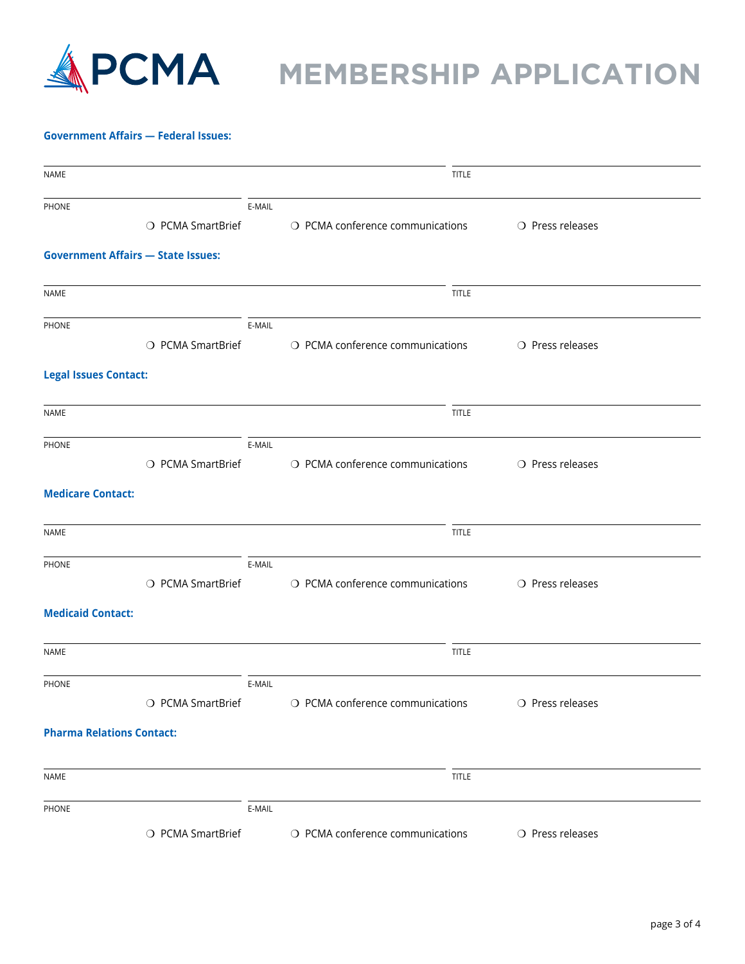

# **MPCMA** MEMBERSHIP APPLICATION

#### **Government Affairs — Federal Issues:**

| NAME                             |                                           |        | <b>TITLE</b>                     |                           |
|----------------------------------|-------------------------------------------|--------|----------------------------------|---------------------------|
| PHONE                            |                                           | E-MAIL |                                  |                           |
|                                  | O PCMA SmartBrief                         |        | O PCMA conference communications | O Press releases          |
|                                  | <b>Government Affairs - State Issues:</b> |        |                                  |                           |
| <b>NAME</b>                      |                                           |        | <b>TITLE</b>                     |                           |
| PHONE                            |                                           | E-MAIL |                                  |                           |
|                                  | O PCMA SmartBrief                         |        | O PCMA conference communications | O Press releases          |
| <b>Legal Issues Contact:</b>     |                                           |        |                                  |                           |
| <b>NAME</b>                      |                                           |        | <b>TITLE</b>                     |                           |
| PHONE                            |                                           | E-MAIL |                                  |                           |
|                                  | O PCMA SmartBrief                         |        | O PCMA conference communications | O Press releases          |
| <b>Medicare Contact:</b>         |                                           |        |                                  |                           |
| NAME                             |                                           |        | <b>TITLE</b>                     |                           |
| PHONE                            |                                           | E-MAIL |                                  |                           |
|                                  | O PCMA SmartBrief                         |        | O PCMA conference communications | O Press releases          |
| <b>Medicaid Contact:</b>         |                                           |        |                                  |                           |
| <b>NAME</b>                      |                                           |        | <b>TITLE</b>                     |                           |
| PHONE                            |                                           | E-MAIL |                                  |                           |
|                                  | O PCMA SmartBrief                         |        | O PCMA conference communications | $\bigcirc$ Press releases |
| <b>Pharma Relations Contact:</b> |                                           |        |                                  |                           |
| NAME                             |                                           |        | TITLE                            |                           |
| PHONE                            |                                           | E-MAIL |                                  |                           |
|                                  | O PCMA SmartBrief                         |        | O PCMA conference communications | O Press releases          |